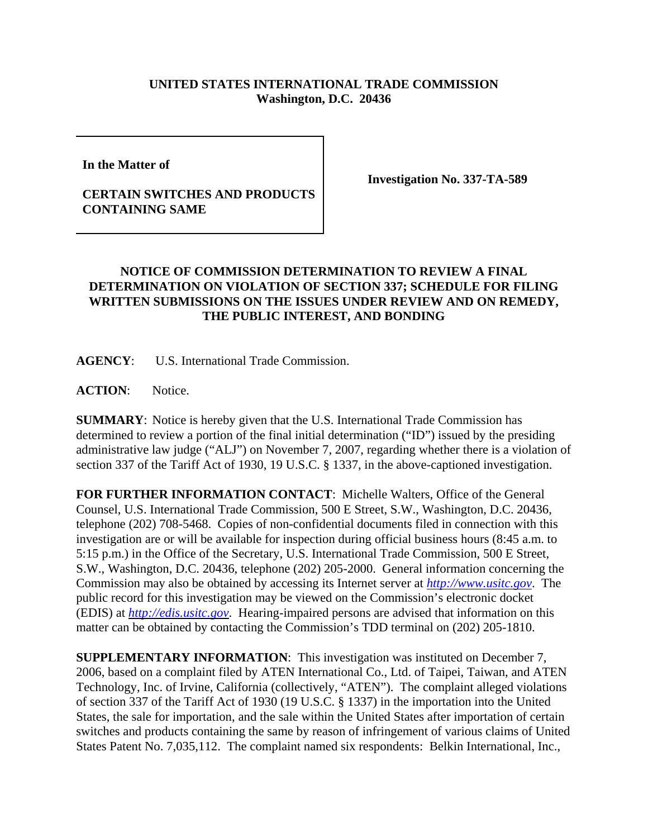## **UNITED STATES INTERNATIONAL TRADE COMMISSION Washington, D.C. 20436**

**In the Matter of** 

## **CERTAIN SWITCHES AND PRODUCTS CONTAINING SAME**

**Investigation No. 337-TA-589**

## **NOTICE OF COMMISSION DETERMINATION TO REVIEW A FINAL DETERMINATION ON VIOLATION OF SECTION 337; SCHEDULE FOR FILING WRITTEN SUBMISSIONS ON THE ISSUES UNDER REVIEW AND ON REMEDY, THE PUBLIC INTEREST, AND BONDING**

**AGENCY**: U.S. International Trade Commission.

**ACTION**: Notice.

**SUMMARY**: Notice is hereby given that the U.S. International Trade Commission has determined to review a portion of the final initial determination ("ID") issued by the presiding administrative law judge ("ALJ") on November 7, 2007, regarding whether there is a violation of section 337 of the Tariff Act of 1930, 19 U.S.C. § 1337, in the above-captioned investigation.

**FOR FURTHER INFORMATION CONTACT**: Michelle Walters, Office of the General Counsel, U.S. International Trade Commission, 500 E Street, S.W., Washington, D.C. 20436, telephone (202) 708-5468. Copies of non-confidential documents filed in connection with this investigation are or will be available for inspection during official business hours (8:45 a.m. to 5:15 p.m.) in the Office of the Secretary, U.S. International Trade Commission, 500 E Street, S.W., Washington, D.C. 20436, telephone (202) 205-2000. General information concerning the Commission may also be obtained by accessing its Internet server at *http://www.usitc.gov*. The public record for this investigation may be viewed on the Commission's electronic docket (EDIS) at *http://edis.usitc.gov*. Hearing-impaired persons are advised that information on this matter can be obtained by contacting the Commission's TDD terminal on (202) 205-1810.

**SUPPLEMENTARY INFORMATION**: This investigation was instituted on December 7, 2006, based on a complaint filed by ATEN International Co., Ltd. of Taipei, Taiwan, and ATEN Technology, Inc. of Irvine, California (collectively, "ATEN"). The complaint alleged violations of section 337 of the Tariff Act of 1930 (19 U.S.C. § 1337) in the importation into the United States, the sale for importation, and the sale within the United States after importation of certain switches and products containing the same by reason of infringement of various claims of United States Patent No. 7,035,112. The complaint named six respondents: Belkin International, Inc.,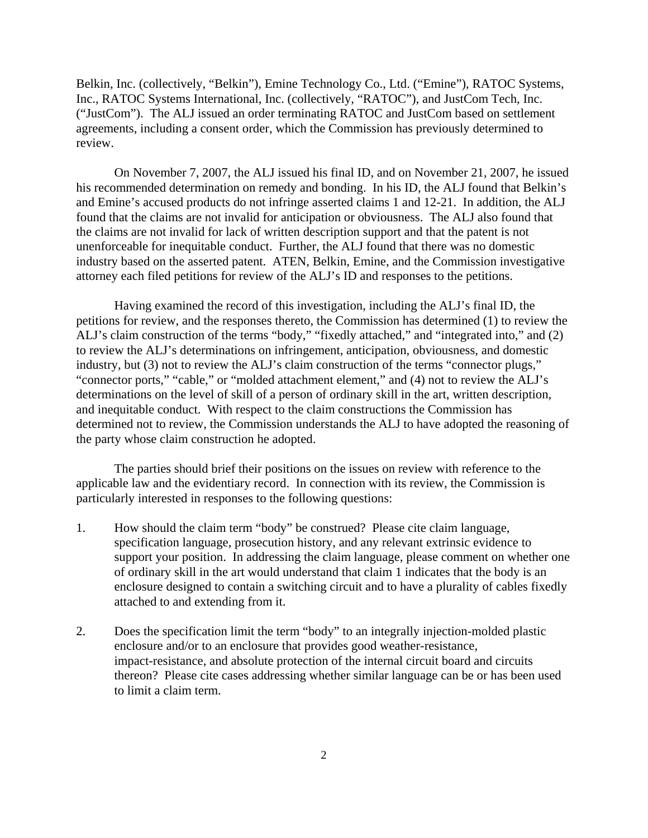Belkin, Inc. (collectively, "Belkin"), Emine Technology Co., Ltd. ("Emine"), RATOC Systems, Inc., RATOC Systems International, Inc. (collectively, "RATOC"), and JustCom Tech, Inc. ("JustCom"). The ALJ issued an order terminating RATOC and JustCom based on settlement agreements, including a consent order, which the Commission has previously determined to review.

On November 7, 2007, the ALJ issued his final ID, and on November 21, 2007, he issued his recommended determination on remedy and bonding. In his ID, the ALJ found that Belkin's and Emine's accused products do not infringe asserted claims 1 and 12-21. In addition, the ALJ found that the claims are not invalid for anticipation or obviousness. The ALJ also found that the claims are not invalid for lack of written description support and that the patent is not unenforceable for inequitable conduct. Further, the ALJ found that there was no domestic industry based on the asserted patent. ATEN, Belkin, Emine, and the Commission investigative attorney each filed petitions for review of the ALJ's ID and responses to the petitions.

Having examined the record of this investigation, including the ALJ's final ID, the petitions for review, and the responses thereto, the Commission has determined (1) to review the ALJ's claim construction of the terms "body," "fixedly attached," and "integrated into," and (2) to review the ALJ's determinations on infringement, anticipation, obviousness, and domestic industry, but (3) not to review the ALJ's claim construction of the terms "connector plugs," "connector ports," "cable," or "molded attachment element," and (4) not to review the ALJ's determinations on the level of skill of a person of ordinary skill in the art, written description, and inequitable conduct. With respect to the claim constructions the Commission has determined not to review, the Commission understands the ALJ to have adopted the reasoning of the party whose claim construction he adopted.

The parties should brief their positions on the issues on review with reference to the applicable law and the evidentiary record. In connection with its review, the Commission is particularly interested in responses to the following questions:

- 1. How should the claim term "body" be construed? Please cite claim language, specification language, prosecution history, and any relevant extrinsic evidence to support your position. In addressing the claim language, please comment on whether one of ordinary skill in the art would understand that claim 1 indicates that the body is an enclosure designed to contain a switching circuit and to have a plurality of cables fixedly attached to and extending from it.
- 2. Does the specification limit the term "body" to an integrally injection-molded plastic enclosure and/or to an enclosure that provides good weather-resistance, impact-resistance, and absolute protection of the internal circuit board and circuits thereon? Please cite cases addressing whether similar language can be or has been used to limit a claim term.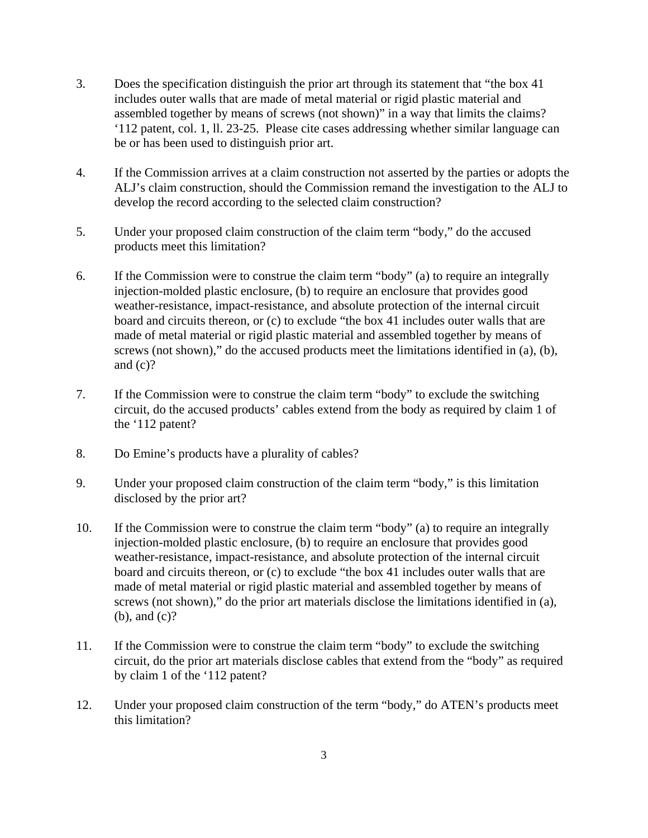- 3. Does the specification distinguish the prior art through its statement that "the box 41 includes outer walls that are made of metal material or rigid plastic material and assembled together by means of screws (not shown)" in a way that limits the claims? '112 patent, col. 1, ll. 23-25. Please cite cases addressing whether similar language can be or has been used to distinguish prior art.
- 4. If the Commission arrives at a claim construction not asserted by the parties or adopts the ALJ's claim construction, should the Commission remand the investigation to the ALJ to develop the record according to the selected claim construction?
- 5. Under your proposed claim construction of the claim term "body," do the accused products meet this limitation?
- 6. If the Commission were to construe the claim term "body" (a) to require an integrally injection-molded plastic enclosure, (b) to require an enclosure that provides good weather-resistance, impact-resistance, and absolute protection of the internal circuit board and circuits thereon, or (c) to exclude "the box 41 includes outer walls that are made of metal material or rigid plastic material and assembled together by means of screws (not shown)," do the accused products meet the limitations identified in (a), (b), and  $(c)?$
- 7. If the Commission were to construe the claim term "body" to exclude the switching circuit, do the accused products' cables extend from the body as required by claim 1 of the '112 patent?
- 8. Do Emine's products have a plurality of cables?
- 9. Under your proposed claim construction of the claim term "body," is this limitation disclosed by the prior art?
- 10. If the Commission were to construe the claim term "body" (a) to require an integrally injection-molded plastic enclosure, (b) to require an enclosure that provides good weather-resistance, impact-resistance, and absolute protection of the internal circuit board and circuits thereon, or (c) to exclude "the box 41 includes outer walls that are made of metal material or rigid plastic material and assembled together by means of screws (not shown)," do the prior art materials disclose the limitations identified in (a), (b), and (c)?
- 11. If the Commission were to construe the claim term "body" to exclude the switching circuit, do the prior art materials disclose cables that extend from the "body" as required by claim 1 of the '112 patent?
- 12. Under your proposed claim construction of the term "body," do ATEN's products meet this limitation?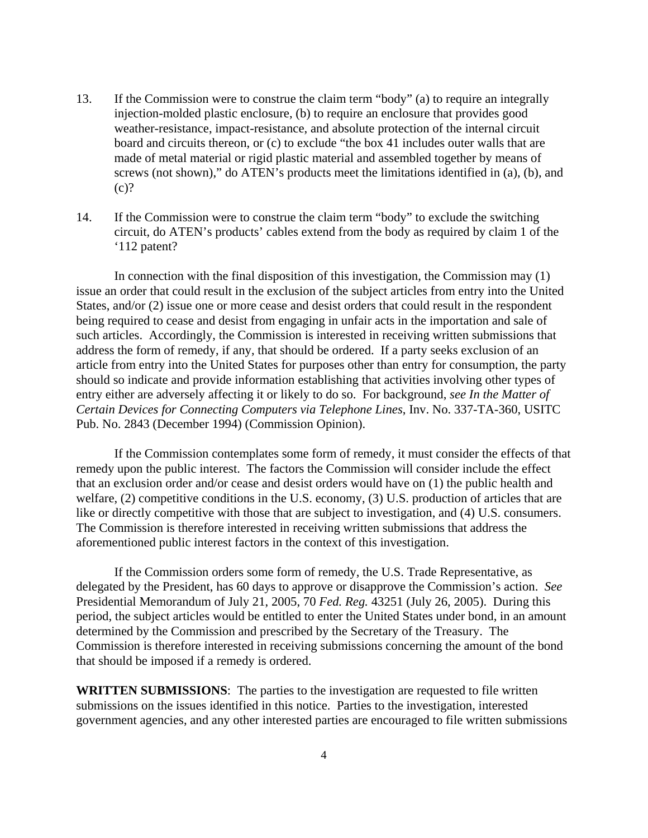- 13. If the Commission were to construe the claim term "body" (a) to require an integrally injection-molded plastic enclosure, (b) to require an enclosure that provides good weather-resistance, impact-resistance, and absolute protection of the internal circuit board and circuits thereon, or (c) to exclude "the box 41 includes outer walls that are made of metal material or rigid plastic material and assembled together by means of screws (not shown)," do ATEN's products meet the limitations identified in (a), (b), and  $(c)?$
- 14. If the Commission were to construe the claim term "body" to exclude the switching circuit, do ATEN's products' cables extend from the body as required by claim 1 of the '112 patent?

In connection with the final disposition of this investigation, the Commission may (1) issue an order that could result in the exclusion of the subject articles from entry into the United States, and/or (2) issue one or more cease and desist orders that could result in the respondent being required to cease and desist from engaging in unfair acts in the importation and sale of such articles. Accordingly, the Commission is interested in receiving written submissions that address the form of remedy, if any, that should be ordered. If a party seeks exclusion of an article from entry into the United States for purposes other than entry for consumption, the party should so indicate and provide information establishing that activities involving other types of entry either are adversely affecting it or likely to do so. For background, *see In the Matter of Certain Devices for Connecting Computers via Telephone Lines*, Inv. No. 337-TA-360, USITC Pub. No. 2843 (December 1994) (Commission Opinion).

If the Commission contemplates some form of remedy, it must consider the effects of that remedy upon the public interest. The factors the Commission will consider include the effect that an exclusion order and/or cease and desist orders would have on (1) the public health and welfare, (2) competitive conditions in the U.S. economy, (3) U.S. production of articles that are like or directly competitive with those that are subject to investigation, and (4) U.S. consumers. The Commission is therefore interested in receiving written submissions that address the aforementioned public interest factors in the context of this investigation.

If the Commission orders some form of remedy, the U.S. Trade Representative, as delegated by the President, has 60 days to approve or disapprove the Commission's action. *See* Presidential Memorandum of July 21, 2005, 70 *Fed. Reg.* 43251 (July 26, 2005). During this period, the subject articles would be entitled to enter the United States under bond, in an amount determined by the Commission and prescribed by the Secretary of the Treasury. The Commission is therefore interested in receiving submissions concerning the amount of the bond that should be imposed if a remedy is ordered.

**WRITTEN SUBMISSIONS**:The parties to the investigation are requested to file written submissions on the issues identified in this notice. Parties to the investigation, interested government agencies, and any other interested parties are encouraged to file written submissions